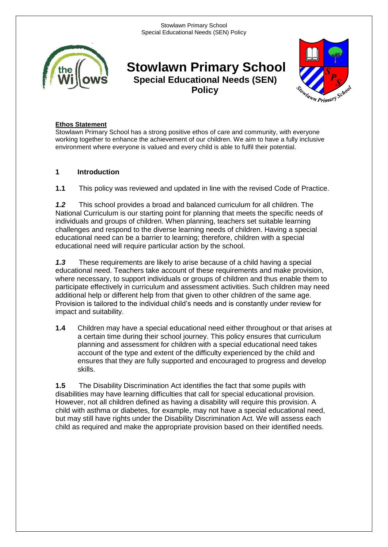

**Stowlawn Primary School Special Educational Needs (SEN) Policy**



## **Ethos Statement**

Stowlawn Primary School has a strong positive ethos of care and community, with everyone working together to enhance the achievement of our children. We aim to have a fully inclusive environment where everyone is valued and every child is able to fulfil their potential.

# **1 Introduction**

**1.1** This policy was reviewed and updated in line with the revised Code of Practice.

*1.2* This school provides a broad and balanced curriculum for all children. The National Curriculum is our starting point for planning that meets the specific needs of individuals and groups of children. When planning, teachers set suitable learning challenges and respond to the diverse learning needs of children. Having a special educational need can be a barrier to learning; therefore, children with a special educational need will require particular action by the school.

*1.3* These requirements are likely to arise because of a child having a special educational need. Teachers take account of these requirements and make provision, where necessary, to support individuals or groups of children and thus enable them to participate effectively in curriculum and assessment activities. Such children may need additional help or different help from that given to other children of the same age. Provision is tailored to the individual child's needs and is constantly under review for impact and suitability.

**1.4** Children may have a special educational need either throughout or that arises at a certain time during their school journey. This policy ensures that curriculum planning and assessment for children with a special educational need takes account of the type and extent of the difficulty experienced by the child and ensures that they are fully supported and encouraged to progress and develop skills.

**1.5** The Disability Discrimination Act identifies the fact that some pupils with disabilities may have learning difficulties that call for special educational provision. However, not all children defined as having a disability will require this provision. A child with asthma or diabetes, for example, may not have a special educational need, but may still have rights under the Disability Discrimination Act. We will assess each child as required and make the appropriate provision based on their identified needs.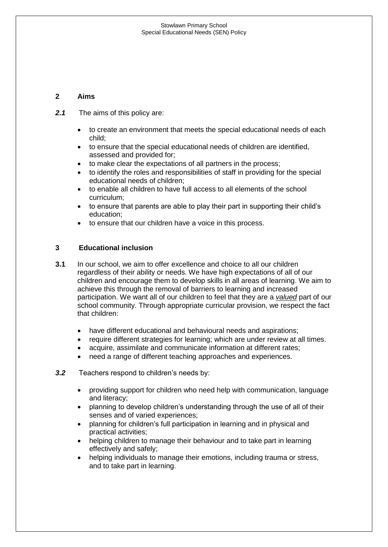# **2 Aims**

- *2.1* The aims of this policy are:
	- to create an environment that meets the special educational needs of each child;
	- to ensure that the special educational needs of children are identified, assessed and provided for;
	- to make clear the expectations of all partners in the process;
	- to identify the roles and responsibilities of staff in providing for the special educational needs of children;
	- to enable all children to have full access to all elements of the school curriculum;
	- to ensure that parents are able to play their part in supporting their child's education;
	- to ensure that our children have a voice in this process.

## **3 Educational inclusion**

- **3.1** In our school, we aim to offer excellence and choice to all our children regardless of their ability or needs. We have high expectations of all of our children and encourage them to develop skills in all areas of learning. We aim to achieve this through the removal of barriers to learning and increased participation. We want all of our children to feel that they are a *valued* part of our school community. Through appropriate curricular provision, we respect the fact that children:
	- have different educational and behavioural needs and aspirations;
	- require different strategies for learning; which are under review at all times.
	- acquire, assimilate and communicate information at different rates;
	- need a range of different teaching approaches and experiences.
- *3.2* Teachers respond to children's needs by:
	- providing support for children who need help with communication, language and literacy;
	- planning to develop children's understanding through the use of all of their senses and of varied experiences;
	- planning for children's full participation in learning and in physical and practical activities;
	- helping children to manage their behaviour and to take part in learning effectively and safely;
	- helping individuals to manage their emotions, including trauma or stress, and to take part in learning.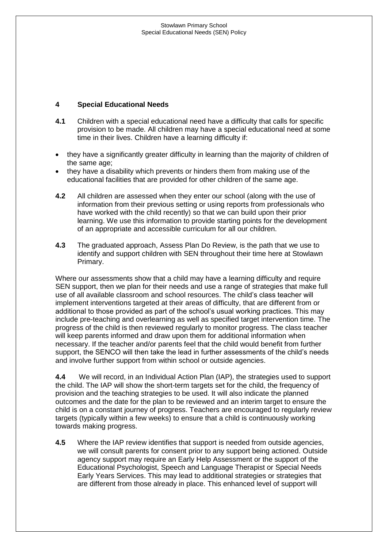# **4 Special Educational Needs**

- **4.1** Children with a special educational need have a difficulty that calls for specific provision to be made. All children may have a special educational need at some time in their lives. Children have a learning difficulty if:
- they have a significantly greater difficulty in learning than the majority of children of the same age;
- they have a disability which prevents or hinders them from making use of the educational facilities that are provided for other children of the same age.
- **4.2** All children are assessed when they enter our school (along with the use of information from their previous setting or using reports from professionals who have worked with the child recently) so that we can build upon their prior learning. We use this information to provide starting points for the development of an appropriate and accessible curriculum for all our children.
- **4.3** The graduated approach, Assess Plan Do Review, is the path that we use to identify and support children with SEN throughout their time here at Stowlawn Primary.

Where our assessments show that a child may have a learning difficulty and require SEN support, then we plan for their needs and use a range of strategies that make full use of all available classroom and school resources. The child's class teacher will implement interventions targeted at their areas of difficulty, that are different from or additional to those provided as part of the school's usual working practices. This may include pre-teaching and overlearning as well as specified target intervention time. The progress of the child is then reviewed regularly to monitor progress. The class teacher will keep parents informed and draw upon them for additional information when necessary. If the teacher and/or parents feel that the child would benefit from further support, the SENCO will then take the lead in further assessments of the child's needs and involve further support from within school or outside agencies.

**4.4** We will record, in an Individual Action Plan (IAP), the strategies used to support the child. The IAP will show the short-term targets set for the child, the frequency of provision and the teaching strategies to be used. It will also indicate the planned outcomes and the date for the plan to be reviewed and an interim target to ensure the child is on a constant journey of progress. Teachers are encouraged to regularly review targets (typically within a few weeks) to ensure that a child is continuously working towards making progress.

**4.5** Where the IAP review identifies that support is needed from outside agencies, we will consult parents for consent prior to any support being actioned. Outside agency support may require an Early Help Assessment or the support of the Educational Psychologist, Speech and Language Therapist or Special Needs Early Years Services. This may lead to additional strategies or strategies that are different from those already in place. This enhanced level of support will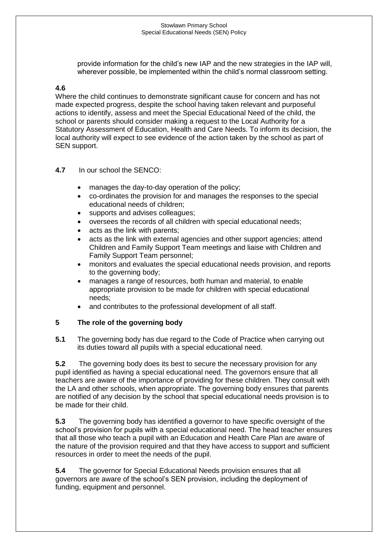provide information for the child's new IAP and the new strategies in the IAP will, wherever possible, be implemented within the child's normal classroom setting.

#### **4.6**

Where the child continues to demonstrate significant cause for concern and has not made expected progress, despite the school having taken relevant and purposeful actions to identify, assess and meet the Special Educational Need of the child, the school or parents should consider making a request to the Local Authority for a Statutory Assessment of Education, Health and Care Needs. To inform its decision, the local authority will expect to see evidence of the action taken by the school as part of SEN support.

#### **4.7** In our school the SENCO:

- manages the day-to-day operation of the policy;
- co-ordinates the provision for and manages the responses to the special educational needs of children;
- supports and advises colleagues;
- oversees the records of all children with special educational needs;
- acts as the link with parents;
- acts as the link with external agencies and other support agencies; attend Children and Family Support Team meetings and liaise with Children and Family Support Team personnel;
- monitors and evaluates the special educational needs provision, and reports to the governing body;
- manages a range of resources, both human and material, to enable appropriate provision to be made for children with special educational needs;
- and contributes to the professional development of all staff.

#### **5 The role of the governing body**

**5.1** The governing body has due regard to the Code of Practice when carrying out its duties toward all pupils with a special educational need.

**5.2** The governing body does its best to secure the necessary provision for any pupil identified as having a special educational need. The governors ensure that all teachers are aware of the importance of providing for these children. They consult with the LA and other schools, when appropriate. The governing body ensures that parents are notified of any decision by the school that special educational needs provision is to be made for their child.

**5.3** The governing body has identified a governor to have specific oversight of the school's provision for pupils with a special educational need. The head teacher ensures that all those who teach a pupil with an Education and Health Care Plan are aware of the nature of the provision required and that they have access to support and sufficient resources in order to meet the needs of the pupil.

**5.4** The governor for Special Educational Needs provision ensures that all governors are aware of the school's SEN provision, including the deployment of funding, equipment and personnel.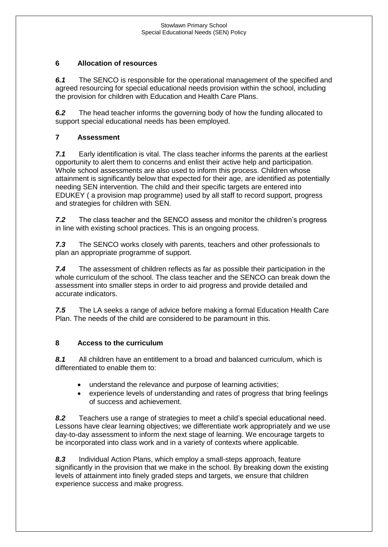## **6 Allocation of resources**

*6.1* The SENCO is responsible for the operational management of the specified and agreed resourcing for special educational needs provision within the school, including the provision for children with Education and Health Care Plans.

*6.2* The head teacher informs the governing body of how the funding allocated to support special educational needs has been employed.

## **7 Assessment**

*7.1* Early identification is vital. The class teacher informs the parents at the earliest opportunity to alert them to concerns and enlist their active help and participation. Whole school assessments are also used to inform this process. Children whose attainment is significantly below that expected for their age, are identified as potentially needing SEN intervention. The child and their specific targets are entered into EDUKEY ( a provision map programme) used by all staff to record support, progress and strategies for children with SEN.

*7.2* The class teacher and the SENCO assess and monitor the children's progress in line with existing school practices. This is an ongoing process.

*7.3* The SENCO works closely with parents, teachers and other professionals to plan an appropriate programme of support.

*7.4* The assessment of children reflects as far as possible their participation in the whole curriculum of the school. The class teacher and the SENCO can break down the assessment into smaller steps in order to aid progress and provide detailed and accurate indicators.

*7.5* The LA seeks a range of advice before making a formal Education Health Care Plan. The needs of the child are considered to be paramount in this.

#### **8 Access to the curriculum**

*8.1* All children have an entitlement to a broad and balanced curriculum, which is differentiated to enable them to:

- understand the relevance and purpose of learning activities;
- experience levels of understanding and rates of progress that bring feelings of success and achievement.

*8.2* Teachers use a range of strategies to meet a child's special educational need. Lessons have clear learning objectives; we differentiate work appropriately and we use day-to-day assessment to inform the next stage of learning. We encourage targets to be incorporated into class work and in a variety of contexts where applicable.

*8.3* Individual Action Plans, which employ a small-steps approach, feature significantly in the provision that we make in the school. By breaking down the existing levels of attainment into finely graded steps and targets, we ensure that children experience success and make progress.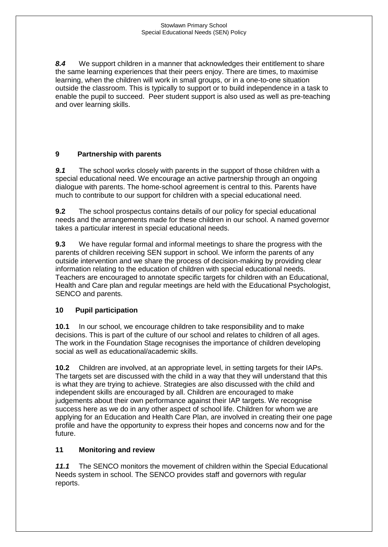*8.4* We support children in a manner that acknowledges their entitlement to share the same learning experiences that their peers enjoy. There are times, to maximise learning, when the children will work in small groups, or in a one-to-one situation outside the classroom. This is typically to support or to build independence in a task to enable the pupil to succeed. Peer student support is also used as well as pre-teaching and over learning skills.

# **9 Partnership with parents**

*9.1* The school works closely with parents in the support of those children with a special educational need. We encourage an active partnership through an ongoing dialogue with parents. The home-school agreement is central to this. Parents have much to contribute to our support for children with a special educational need.

**9.2** The school prospectus contains details of our policy for special educational needs and the arrangements made for these children in our school. A named governor takes a particular interest in special educational needs.

**9.3** We have regular formal and informal meetings to share the progress with the parents of children receiving SEN support in school. We inform the parents of any outside intervention and we share the process of decision-making by providing clear information relating to the education of children with special educational needs. Teachers are encouraged to annotate specific targets for children with an Educational, Health and Care plan and regular meetings are held with the Educational Psychologist, SENCO and parents.

# **10 Pupil participation**

**10.1** In our school, we encourage children to take responsibility and to make decisions. This is part of the culture of our school and relates to children of all ages. The work in the Foundation Stage recognises the importance of children developing social as well as educational/academic skills.

**10.2** Children are involved, at an appropriate level, in setting targets for their IAPs. The targets set are discussed with the child in a way that they will understand that this is what they are trying to achieve. Strategies are also discussed with the child and independent skills are encouraged by all. Children are encouraged to make judgements about their own performance against their IAP targets. We recognise success here as we do in any other aspect of school life. Children for whom we are applying for an Education and Health Care Plan, are involved in creating their one page profile and have the opportunity to express their hopes and concerns now and for the future.

# **11 Monitoring and review**

*11.1* The SENCO monitors the movement of children within the Special Educational Needs system in school. The SENCO provides staff and governors with regular reports.